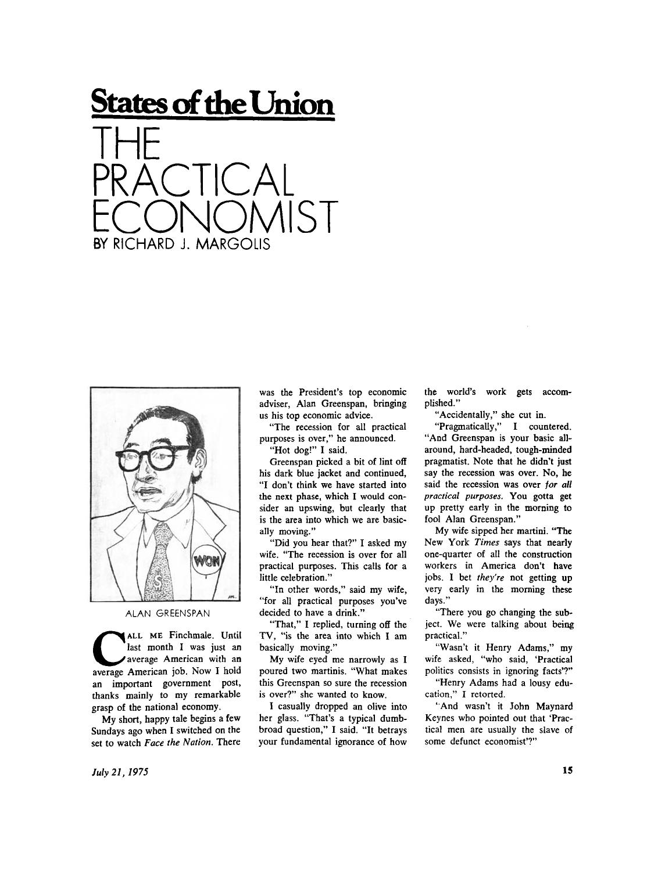## **States of the Union**





## ALAN GREENSPAN

**CALL ME Finchmale. Until** last month I was just an average American with an average American job. Now I hold **A L L M E** Finchmale. Until last month I was just an average American with an an important government post, thanks mainly to my remarkable grasp of the national economy.

My short, happy tale begins a few Sundays ago when I switched on the set to watch *Face the Nation.* There

was the President's top economic adviser, Alan Greenspan, bringing us his top economic advice.

"The recession for all practical purposes is over," he announced.

"Hot dog!" I said.

Greenspan picked a bit of lint off his dark blue jacket and continued, "I don't think we have started into the next phase, which I would consider an upswing, but clearly that is the area into which we are basically moving."

"Did you hear that?" I asked my wife. "The recession is over for all practical purposes. This calls for a little celebration."

"In other words," said my wife, "for all practical purposes you've decided to have a drink."

"That," I replied, turning off the TV, "is the area into which I am basically moving."

My wife eyed me narrowly as I poured two martinis. "What makes this Greenspan so sure the recession is over?" she wanted to know.

I casually dropped an olive into her glass. "That's a typical dumbbroad question," I said. "It betrays your fundamental ignorance of how

the world's work gets accomplished."

"Accidentally," she cut in.

"Pragmatically," I countered. "And Greenspan is your basic allaround, hard-headed, tough-minded pragmatist. Note that he didn't just say the recession was over. No, he said the recession was over *for all practical purposes*. You gotta get up pretty early in the morning to fool Alan Greenspan."

My wife sipped her martini. "The New York *Times* says that nearly one-quarter of all the construction workers in America don't have jobs. I bet *they're* not getting up very early in the morning these days."

"There you go changing the subject. We were talking about being practical."

"Wasn't it Henry Adams," my wife asked, "who said, 'Practical politics consists in ignoring facts'?"

"Henry Adams had a lousy education," I retorted.

"And wasn't it John Maynard Keynes who pointed out that 'Practical men are usually the slave of some defunct economist'?"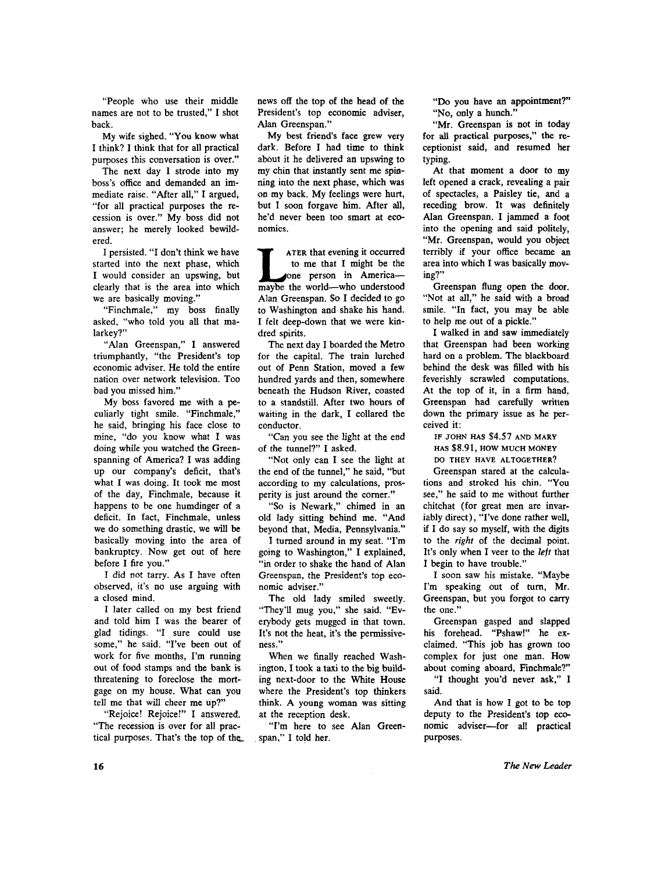"People who use their middle names are not to be trusted," I shot back.

My wife sighed. "You know what I think? I think that for all practical purposes this conversation is over."

The next day I strode into my boss's office and demanded an immediate raise. "After all," I argued, "for all practical purposes the recession is over." My boss did not answer; he merely looked bewildered.

I persisted. "I don't think we have started into the next phase, which I would consider an upswing, but clearly that is the area into which we are basically moving."

"Finchmale," my boss finally asked, "who told you all that malarkey?"

"Alan Greenspan," I answered triumphantly, "the President's top economic adviser. He told the entire nation over network television. Too bad you missed him."

My boss favored me with a peculiarly tight smile. "Finchmale," he said, bringing his face close to mine, "do you know what I was doing while you watched the Greenspanning of America? I was adding up our company's deficit, that's what I was doing. It took me most of the day, Finchmale, because it happens to be one humdinger of a deficit. In fact, Finchmale, unless we do something drastic, we will be basically moving into the area of bankruptcy. Now get out of here before I fire you."

I did not tarry. As I have often observed, it's no use arguing with a closed mind.

I later called on my best friend and told him I was the bearer of glad tidings. "I sure could use some," he said. "I've been out of work for five months, I'm running out of food stamps and the bank is threatening to foreclose the mortgage on my house. What can you tell me that will cheer me up?"

"Rejoice! Rejoice!" I answered. "The recession is over for all practical purposes. That's the top of the\_ news off the top of the head of the President's top economic adviser, Alan Greenspan."

My best friend's face grew very dark. Before I had time to think about it he delivered an upswing to my chin that instantly sent me spinning into the next phase, which was on my back. My feelings were hurt, but I soon forgave him. After all, he'd never been too smart at economics.

**LATER that evening it occurred**<br>to me that I might be the<br>one person in America—<br>maybe the world—who understood **ATER** that evening it occurred to me that I might be the one person in America— Alan Greenspan. So I decided to go to Washington and shake his hand. I felt deep-down that we were kindred spirits.

The next day I boarded the Metro for the capital. The train lurched out of Penn Station, moved a few hundred yards and then, somewhere beneath the Hudson River, coasted to a standstill. After two hours of waiting in the dark, I collared the conductor.

"Can you see the light at the end of the tunnel?" I asked.

"Not only can I see the light at the end of the tunnel," he said, "but according to my calculations, prosperity is just around the corner."

"So is Newark," chimed in an old lady sitting behind me. "And beyond that, Media, Pennsylvania."

I turned around in my seat. "I'm going to Washington," I explained, "in order to shake the hand of Alan Greenspan, the President's top economic adviser."

The old lady smiled sweetly. "They'll mug you," she said. "Ev erybody gets mugged in that town. It's not the heat, it's the permissiveness."

When we finally reached Washington, I took a taxi to the big building next-door to the White House where the President's top thinkers think. A young woman was sitting at the reception desk.

"I'm here to see Alan Greenspan," I told her.

"Do you have an appointment?" "No, only a hunch."

"Mr. Greenspan is not in today for all practical purposes," the receptionist said, and resumed her typing.

At that moment a door to my left opened a crack, revealing a pair of spectacles, a Paisley tie, and a receding brow. It was definitely Alan Greenspan. I jammed a foot into the opening and said politely, "Mr. Greenspan, would you object terribly if your office became an area into which I was basically moving?"

Greenspan flung open the door. "Not at all," he said with a broad smile. "In fact, you may be able to help me out of a pickle."

I walked in and saw immediately that Greenspan had been working hard on a problem. The blackboard behind the desk was filled with his feverishly scrawled computations. At the top of it, in a firm hand, Greenspan had carefully written down the primary issue as he perceived it:

**IF JOHN HAS** \$4.57 **AND MARY HAS** \$8.91, HOW MUCH MONEY **DO THEY HAVE ALTOGETHER?** 

Greenspan stared at the calculations and stroked his chin. "You see," he said to me without further chitchat (for great men are invariably direct), "I've done rather well, if I do say so myself, with the digits to the *right* of the decimal point. It's only when I veer to the *left* that I begin to have trouble."

I soon saw his mistake. "Maybe I'm speaking out of turn, Mr. Greenspan, but you forgot to carry the one."

Greenspan gasped and slapped his forehead. "Pshaw!" he exclaimed. "This job has grown too complex for just one man. How about coming aboard, Finchmale?" "I thought you'd never ask," I said.

And that is how I got to be top deputy to the President's top economic adviser—for all practical purposes.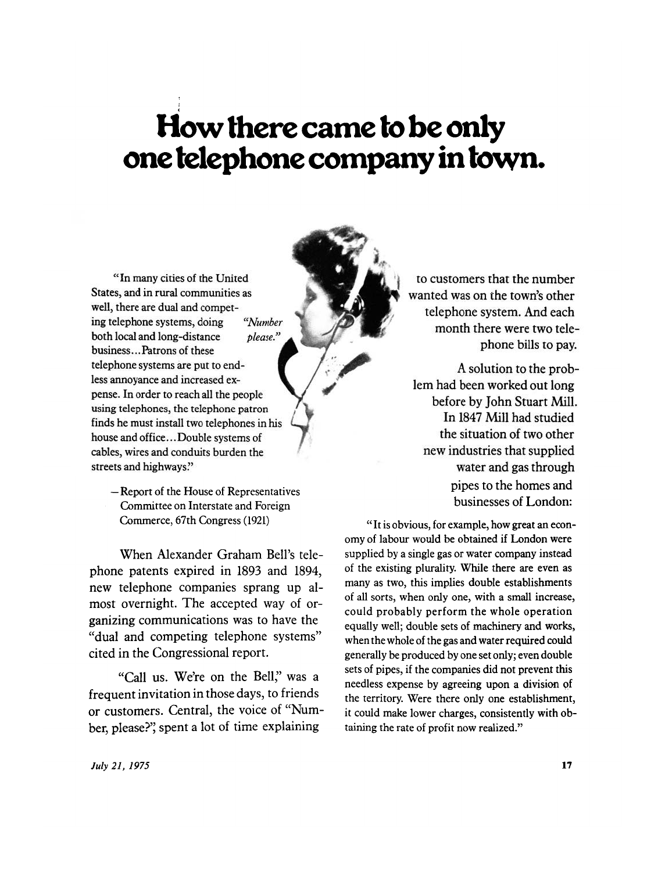## **How there came to be only one telephone company in town.**

**"In many cities of the United States, and in rural communities as well, there are dual and competing telephone systems, doing** *"Number*  **both local and long-distance** *please."*  **business...Patrons of these telephone systems are put to endless annoyance and increased expense. In order to reach all the people using telephones, the telephone patron finds he must install two telephones in his house and office... Double systems of cables, wires and conduits burden the streets and highways."** 

> **— Report of the House of Representatives Committee on Interstate and Foreign Commerce, 67th Congress (1921)**

**When Alexander Graham Bell's telephone patents expired in 1893 and 1894, new telephone companies sprang up almost overnight. The accepted way of organizing communications was to have the "dual and competing telephone systems" cited in the Congressional report.** 

**"Call us. We're on the Bell," was a frequent invitation in those days, to friends or customers. Central, the voice of "Number, please?" spent a lot of time explaining** 

to customers that the number **wanted was on the town's other telephone system. And each month there were two telephone bills to pay.** 

**A solution to the problem had been worked out long before by John Stuart Mill. In 1847 Mill had studied the situation of two other new industries that supplied water and gas through pipes to the homes and businesses of London:** 

**" It is obvious, for example, how great an economy of labour would be obtained if London were supplied by a single gas or water company instead of the existing plurality. While there are even as many as two, this implies double establishments of all sorts, when only one, with a small increase, could probably perform the whole operation equally well; double sets of machinery and works, when the whole of the gas and water required could generally be produced by one set only; even double sets of pipes, if the companies did not prevent this needless expense by agreeing upon a division of the territory. Were there only one establishment, it could make lower charges, consistently with obtaining the rate of profit now realized."**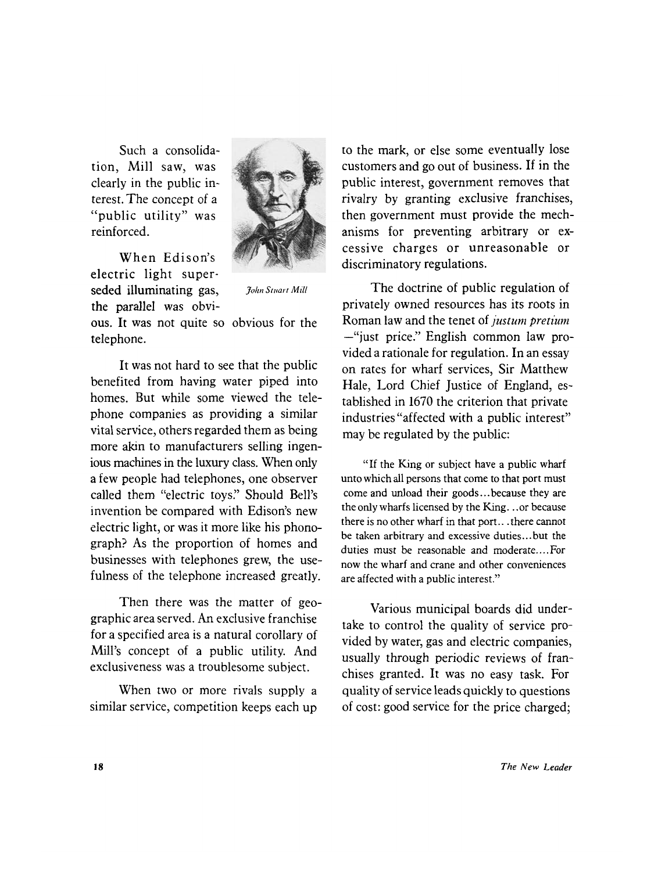**Such a consolidation, Mill saw, was clearly in the public interest. The concept of a "public utility" was reinforced.** 

**When Edison's electric light superseded illuminating gas,** *joim Smart MUI*  **the parallel was obvi-**



**ous. It was not quite so obvious for the telephone.** 

**It was not hard to see that the public benefited from having water piped into homes. But while some viewed the telephone companies as providing a similar vital service, others regarded them as being more akin to manufacturers selling ingenious machines in the luxury class. When only a few people had telephones, one observer called them "electric toys." Should Bell's invention be compared with Edison's new electric light, or was it more like his phonograph? As the proportion of homes and businesses with telephones grew, the usefulness of the telephone increased greatly.** 

**Then there was the matter of geographic area served. An exclusive franchise for a specified area is a natural corollary of Mill's concept of a public utility. And exclusiveness was a troublesome subject.** 

**When two or more rivals supply a similar service, competition keeps each up**  **to the mark, or else some eventually lose customers and go out of business. If in the public interest, government removes that rivalry by granting exclusive franchises, then government must provide the mechanisms for preventing arbitrary or excessive charges or unreasonable or discriminatory regulations.** 

**The doctrine of public regulation of privately owned resources has its roots in Roman law and the tenet of** *justum pretium*  **—"just price." English common law provided a rationale for regulation. In an essay on rates for wharf services, Sir Matthew Hale, Lord Chief Justice of England, established in 1670 the criterion that private industries "affected with a public interest" may be regulated by the public:** 

**"If the King or subject have a public wharf unto which all persons that come to that port must come and unload their goods...because they are the only wharfs licensed by the King.. .or because there is no other wharf in that port., .there cannot be taken arbitrary and excessive duties...but the duties must be reasonable and moderate.... For now the wharf and crane and other conveniences are affected with a public interest."** 

**Various municipal boards did undertake to control the quality of service provided by water, gas and electric companies, usually through periodic reviews of franchises granted. It was no easy task. For quality of service leads quickly to questions of cost: good service for the price charged;**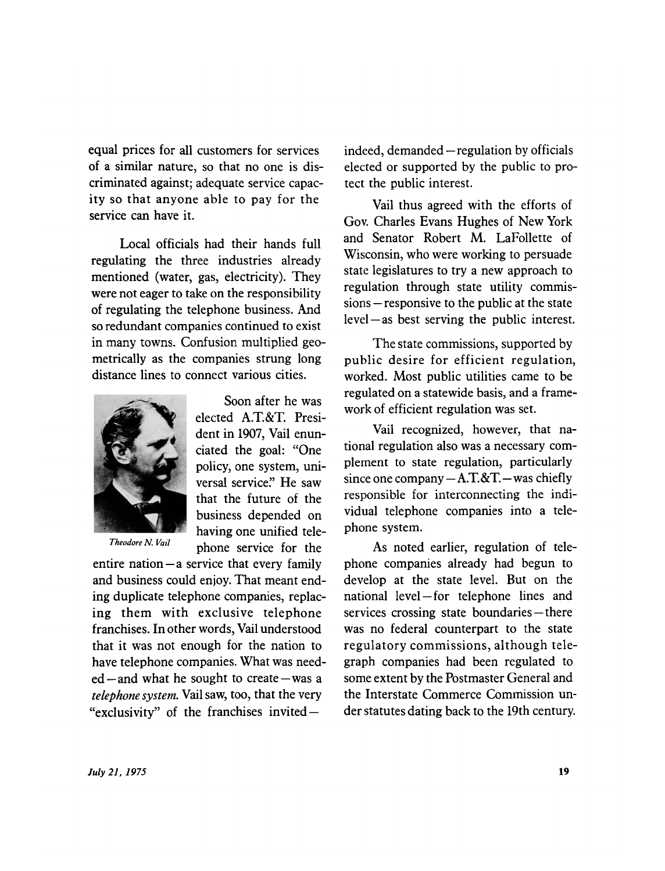**equal prices for all customers for services of a similar nature, so that no one is discriminated against; adequate service capacity so that anyone able to pay for the service can have it.** 

**Local officials had their hands full regulating the three industries already mentioned (water, gas, electricity). They were not eager to take on the responsibility of regulating the telephone business. And so redundant companies continued to exist in many towns. Confusion multiplied geometrically as the companies strung long distance lines to connect various cities.** 



*Theodore N. Vail* 

**Soon after he was elected A.T.&T. President in 1907, Vail enunciated the goal: "One policy, one system, universal service." He saw that the future of the business depended on having one unified telephone service for the** 

**entire nation—a service that every family and business could enjoy. That meant ending duplicate telephone companies, replacing them with exclusive telephone franchises. In other words, Vail understood that it was not enough for the nation to have telephone companies. What was needed—and what he sought to create—was a**  *telephone system.* **Vail saw, too, that the very "exclusivity" of the franchises invited —** 

**indeed, demanded—regulation by officials elected or supported by the public to protect the public interest.** 

**Vail thus agreed with the efforts of Gov. Charles Evans Hughes of New York and Senator Robert M. LaFollette of Wisconsin, who were working to persuade state legislatures to try a new approach to regulation through state utility commissions—responsive to the public at the state level—as best serving the public interest.** 

**The state commissions, supported by public desire for efficient regulation, worked. Most public utilities came to be regulated on a statewide basis, and a framework of efficient regulation was set.** 

**Vail recognized, however, that national regulation also was a necessary complement to state regulation, particularly since one company—AT. &T—was chiefly responsible for interconnecting the individual telephone companies into a telephone system.** 

**As noted earlier, regulation of telephone companies already had begun to develop at the state level. But on the national level—for telephone lines and services crossing state boundaries—there was no federal counterpart to the state regulatory commissions, although telegraph companies had been regulated to some extent by the Postmaster General and the Interstate Commerce Commission under statutes dating back to the 19th century.**